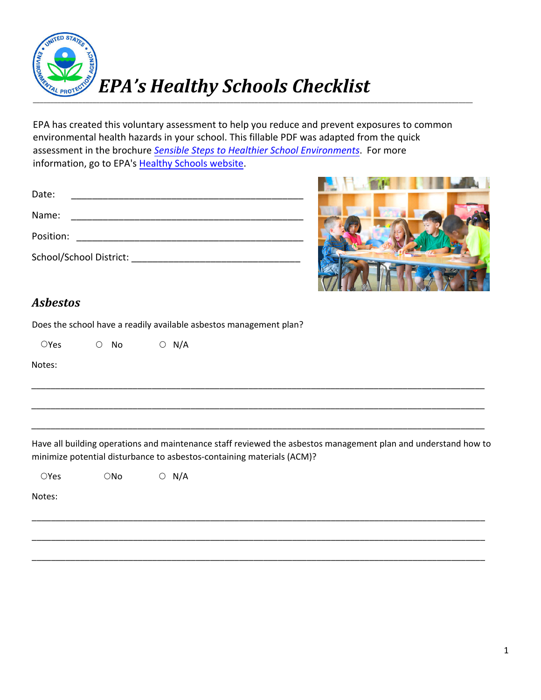

EPA has created this voluntary assessment to help you reduce and prevent exposures to common environmental health hazards in your school. This fillable PDF was adapted from the quick assessment in the brochure *[Sensible Steps to Healthier School Environments](https://www.epa.gov/sites/production/files/2017-06/documents/sensible_steps_final_may2017_web.pdf)*. For more information, go to EPA's [Healthy Schools website.](https://www.epa.gov/schools)

| Date:     |                         |  |
|-----------|-------------------------|--|
| Name:     |                         |  |
| Position: |                         |  |
|           | School/School District: |  |



## *Asbestos*

Does the school have a readily available asbestos management plan?

 $OYes$   $O No$   $O N/A$ 

Notes:

Have all building operations and maintenance staff reviewed the asbestos management plan and understand how to minimize potential disturbance to asbestos-containing materials (ACM)?

\_\_\_\_\_\_\_\_\_\_\_\_\_\_\_\_\_\_\_\_\_\_\_\_\_\_\_\_\_\_\_\_\_\_\_\_\_\_\_\_\_\_\_\_\_\_\_\_\_\_\_\_\_\_\_\_\_\_\_\_\_\_\_\_\_\_\_\_\_\_\_\_\_\_\_\_\_\_\_\_\_\_\_\_\_\_\_\_\_\_\_\_\_\_

\_\_\_\_\_\_\_\_\_\_\_\_\_\_\_\_\_\_\_\_\_\_\_\_\_\_\_\_\_\_\_\_\_\_\_\_\_\_\_\_\_\_\_\_\_\_\_\_\_\_\_\_\_\_\_\_\_\_\_\_\_\_\_\_\_\_\_\_\_\_\_\_\_\_\_\_\_\_\_\_\_\_\_\_\_\_\_\_\_\_\_\_\_\_

\_\_\_\_\_\_\_\_\_\_\_\_\_\_\_\_\_\_\_\_\_\_\_\_\_\_\_\_\_\_\_\_\_\_\_\_\_\_\_\_\_\_\_\_\_\_\_\_\_\_\_\_\_\_\_\_\_\_\_\_\_\_\_\_\_\_\_\_\_\_\_\_\_\_\_\_\_\_\_\_\_\_\_\_\_\_\_\_\_\_\_\_\_\_

\_\_\_\_\_\_\_\_\_\_\_\_\_\_\_\_\_\_\_\_\_\_\_\_\_\_\_\_\_\_\_\_\_\_\_\_\_\_\_\_\_\_\_\_\_\_\_\_\_\_\_\_\_\_\_\_\_\_\_\_\_\_\_\_\_\_\_\_\_\_\_\_\_\_\_\_\_\_\_\_\_\_\_\_\_\_\_\_\_\_\_\_\_\_

\_\_\_\_\_\_\_\_\_\_\_\_\_\_\_\_\_\_\_\_\_\_\_\_\_\_\_\_\_\_\_\_\_\_\_\_\_\_\_\_\_\_\_\_\_\_\_\_\_\_\_\_\_\_\_\_\_\_\_\_\_\_\_\_\_\_\_\_\_\_\_\_\_\_\_\_\_\_\_\_\_\_\_\_\_\_\_\_\_\_\_\_\_\_

\_\_\_\_\_\_\_\_\_\_\_\_\_\_\_\_\_\_\_\_\_\_\_\_\_\_\_\_\_\_\_\_\_\_\_\_\_\_\_\_\_\_\_\_\_\_\_\_\_\_\_\_\_\_\_\_\_\_\_\_\_\_\_\_\_\_\_\_\_\_\_\_\_\_\_\_\_\_\_\_\_\_\_\_\_\_\_\_\_\_\_\_\_\_

 $OYes$   $ONo$   $O N/A$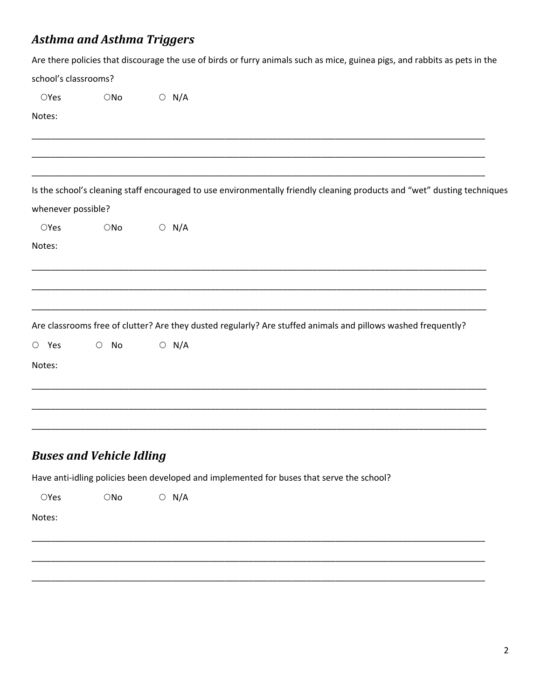## **Asthma and Asthma Triggers**

|                      |                  | Are there policies that discourage the use of birds or furry animals such as mice, guinea pigs, and rabbits as pets in the |
|----------------------|------------------|----------------------------------------------------------------------------------------------------------------------------|
| school's classrooms? |                  |                                                                                                                            |
| OYes                 | $\bigcirc$ No    | $\bigcirc$ N/A                                                                                                             |
| Notes:               |                  |                                                                                                                            |
|                      |                  |                                                                                                                            |
|                      |                  | Is the school's cleaning staff encouraged to use environmentally friendly cleaning products and "wet" dusting techniques   |
| whenever possible?   |                  |                                                                                                                            |
| OYes                 | $\bigcirc$ No    | $O$ N/A                                                                                                                    |
| Notes:               |                  |                                                                                                                            |
|                      |                  | Are classrooms free of clutter? Are they dusted regularly? Are stuffed animals and pillows washed frequently?              |
| $O$ Yes              | No<br>$\bigcirc$ | $O$ N/A                                                                                                                    |
| Notes:               |                  |                                                                                                                            |
|                      |                  |                                                                                                                            |
|                      |                  |                                                                                                                            |
|                      |                  |                                                                                                                            |

## **Buses and Vehicle Idling**

Have anti-idling policies been developed and implemented for buses that serve the school?

 $\circ$  N/A  $\bigcirc$ No  $OYes$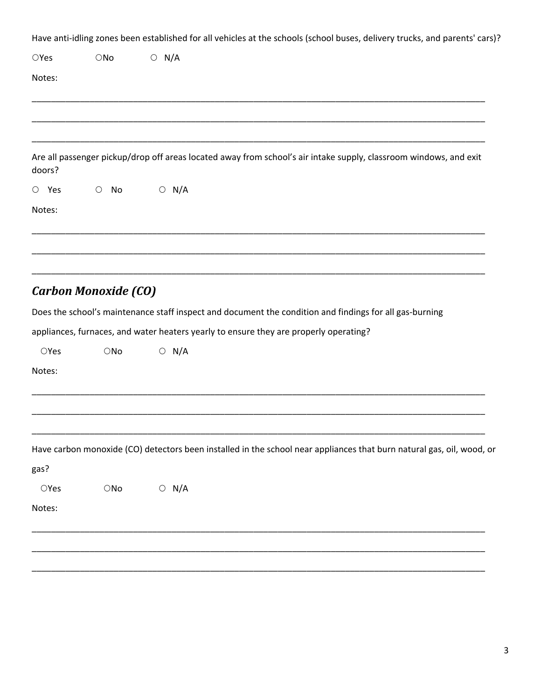Have anti-idling zones been established for all vehicles at the schools (school buses, delivery trucks, and parents' cars)?

| OYes                   | $\bigcirc$ No               | $\circ$ N/A                                                                                                           |  |
|------------------------|-----------------------------|-----------------------------------------------------------------------------------------------------------------------|--|
| Notes:                 |                             |                                                                                                                       |  |
|                        |                             |                                                                                                                       |  |
|                        |                             |                                                                                                                       |  |
| doors?                 |                             | Are all passenger pickup/drop off areas located away from school's air intake supply, classroom windows, and exit     |  |
| $\circ$ Yes            | $\circ$<br>No               | $\circ$ N/A                                                                                                           |  |
| Notes:                 |                             |                                                                                                                       |  |
|                        |                             |                                                                                                                       |  |
|                        | <b>Carbon Monoxide (CO)</b> |                                                                                                                       |  |
|                        |                             | Does the school's maintenance staff inspect and document the condition and findings for all gas-burning               |  |
|                        |                             | appliances, furnaces, and water heaters yearly to ensure they are properly operating?                                 |  |
| OYes                   | $\bigcirc$ No               | $\circ$ N/A                                                                                                           |  |
| Notes:                 |                             |                                                                                                                       |  |
|                        |                             |                                                                                                                       |  |
|                        |                             |                                                                                                                       |  |
|                        |                             | Have carbon monoxide (CO) detectors been installed in the school near appliances that burn natural gas, oil, wood, or |  |
| gas?<br>$\bigcirc$ Yes |                             |                                                                                                                       |  |
|                        | $\bigcirc{\sf No}$          | $\circ$ N/A                                                                                                           |  |
| Notes:                 |                             |                                                                                                                       |  |
|                        |                             |                                                                                                                       |  |
|                        |                             |                                                                                                                       |  |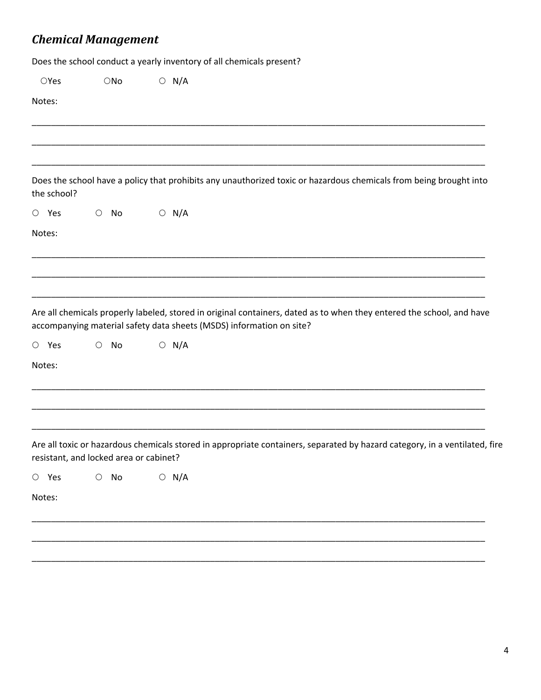# *Chemical Management*

Does the school conduct a yearly inventory of all chemicals present?

| OYes        | $\bigcirc$ No                          | $\circ$ N/A |                                                                      |                                                                                                                            |  |
|-------------|----------------------------------------|-------------|----------------------------------------------------------------------|----------------------------------------------------------------------------------------------------------------------------|--|
| Notes:      |                                        |             |                                                                      |                                                                                                                            |  |
|             |                                        |             |                                                                      |                                                                                                                            |  |
|             |                                        |             |                                                                      |                                                                                                                            |  |
| the school? |                                        |             |                                                                      | Does the school have a policy that prohibits any unauthorized toxic or hazardous chemicals from being brought into         |  |
| $O$ Yes     | $\circ$ No                             | $\circ$ N/A |                                                                      |                                                                                                                            |  |
| Notes:      |                                        |             |                                                                      |                                                                                                                            |  |
|             |                                        |             |                                                                      |                                                                                                                            |  |
|             |                                        |             |                                                                      |                                                                                                                            |  |
|             |                                        |             |                                                                      |                                                                                                                            |  |
|             |                                        |             | accompanying material safety data sheets (MSDS) information on site? | Are all chemicals properly labeled, stored in original containers, dated as to when they entered the school, and have      |  |
| $O$ Yes     | No<br>$\bigcirc$                       | $\circ$ N/A |                                                                      |                                                                                                                            |  |
| Notes:      |                                        |             |                                                                      |                                                                                                                            |  |
|             |                                        |             |                                                                      |                                                                                                                            |  |
|             |                                        |             |                                                                      |                                                                                                                            |  |
|             |                                        |             |                                                                      |                                                                                                                            |  |
|             | resistant, and locked area or cabinet? |             |                                                                      | Are all toxic or hazardous chemicals stored in appropriate containers, separated by hazard category, in a ventilated, fire |  |
| $O$ Yes     | $\bigcirc$ No                          | $\circ$ N/A |                                                                      |                                                                                                                            |  |
| Notes:      |                                        |             |                                                                      |                                                                                                                            |  |
|             |                                        |             |                                                                      |                                                                                                                            |  |
|             |                                        |             |                                                                      |                                                                                                                            |  |
|             |                                        |             |                                                                      |                                                                                                                            |  |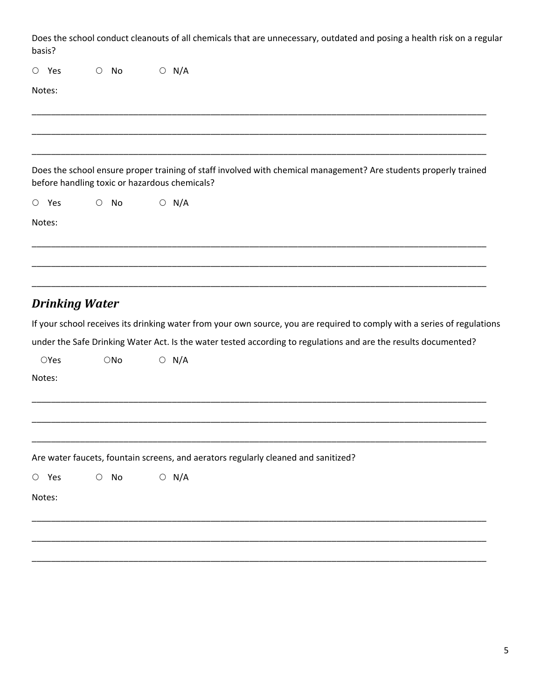| Does the school conduct cleanouts of all chemicals that are unnecessary, outdated and posing a health risk on a regular |
|-------------------------------------------------------------------------------------------------------------------------|
| basis?                                                                                                                  |

| $\circ$ Yes |                       | $\bigcirc$ | No            | $\circ$ N/A                                                                                                                                                       |
|-------------|-----------------------|------------|---------------|-------------------------------------------------------------------------------------------------------------------------------------------------------------------|
| Notes:      |                       |            |               |                                                                                                                                                                   |
|             |                       |            |               |                                                                                                                                                                   |
|             |                       |            |               |                                                                                                                                                                   |
|             |                       |            |               | Does the school ensure proper training of staff involved with chemical management? Are students properly trained<br>before handling toxic or hazardous chemicals? |
| $\circ$ Yes |                       | $\circ$ No |               | $O$ N/A                                                                                                                                                           |
| Notes:      |                       |            |               |                                                                                                                                                                   |
|             |                       |            |               |                                                                                                                                                                   |
|             |                       |            |               |                                                                                                                                                                   |
|             |                       |            |               |                                                                                                                                                                   |
|             | <b>Drinking Water</b> |            |               |                                                                                                                                                                   |
|             |                       |            |               | If your school receives its drinking water from your own source, you are required to comply with a series of regulations                                          |
|             |                       |            |               | under the Safe Drinking Water Act. Is the water tested according to regulations and are the results documented?                                                   |
| OYes        |                       |            | $\bigcirc$ No | $\circ$ N/A                                                                                                                                                       |
| Notes:      |                       |            |               |                                                                                                                                                                   |
|             |                       |            |               |                                                                                                                                                                   |
|             |                       |            |               |                                                                                                                                                                   |
|             |                       |            |               |                                                                                                                                                                   |

\_\_\_\_\_\_\_\_\_\_\_\_\_\_\_\_\_\_\_\_\_\_\_\_\_\_\_\_\_\_\_\_\_\_\_\_\_\_\_\_\_\_\_\_\_\_\_\_\_\_\_\_\_\_\_\_\_\_\_\_\_\_\_\_\_\_\_\_\_\_\_\_\_\_\_\_\_\_\_\_\_\_\_\_\_\_\_\_\_\_\_\_\_\_

\_\_\_\_\_\_\_\_\_\_\_\_\_\_\_\_\_\_\_\_\_\_\_\_\_\_\_\_\_\_\_\_\_\_\_\_\_\_\_\_\_\_\_\_\_\_\_\_\_\_\_\_\_\_\_\_\_\_\_\_\_\_\_\_\_\_\_\_\_\_\_\_\_\_\_\_\_\_\_\_\_\_\_\_\_\_\_\_\_\_\_\_\_\_

\_\_\_\_\_\_\_\_\_\_\_\_\_\_\_\_\_\_\_\_\_\_\_\_\_\_\_\_\_\_\_\_\_\_\_\_\_\_\_\_\_\_\_\_\_\_\_\_\_\_\_\_\_\_\_\_\_\_\_\_\_\_\_\_\_\_\_\_\_\_\_\_\_\_\_\_\_\_\_\_\_\_\_\_\_\_\_\_\_\_\_\_\_\_

Are water faucets, fountain screens, and aerators regularly cleaned and sanitized?

| $\bigcirc$ N/A<br>$\circ$ Yes<br>$\circ$ No |
|---------------------------------------------|
|---------------------------------------------|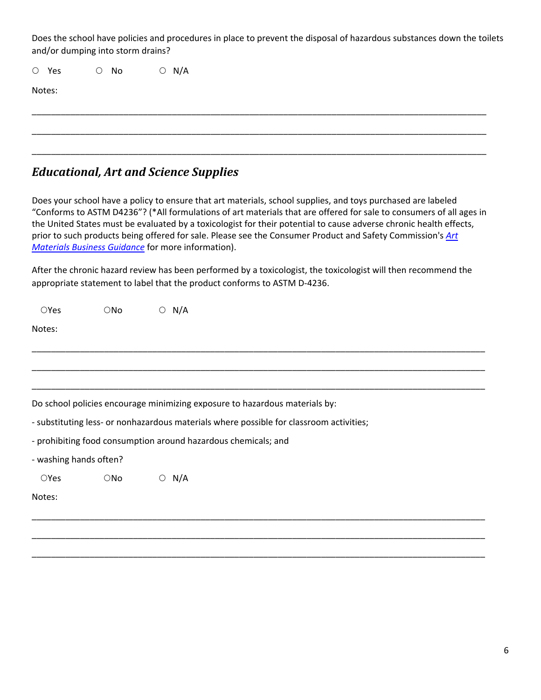Does the school have policies and procedures in place to prevent the disposal of hazardous substances down the toilets and/or dumping into storm drains?

\_\_\_\_\_\_\_\_\_\_\_\_\_\_\_\_\_\_\_\_\_\_\_\_\_\_\_\_\_\_\_\_\_\_\_\_\_\_\_\_\_\_\_\_\_\_\_\_\_\_\_\_\_\_\_\_\_\_\_\_\_\_\_\_\_\_\_\_\_\_\_\_\_\_\_\_\_\_\_\_\_\_\_\_\_\_\_\_\_\_\_\_\_\_

\_\_\_\_\_\_\_\_\_\_\_\_\_\_\_\_\_\_\_\_\_\_\_\_\_\_\_\_\_\_\_\_\_\_\_\_\_\_\_\_\_\_\_\_\_\_\_\_\_\_\_\_\_\_\_\_\_\_\_\_\_\_\_\_\_\_\_\_\_\_\_\_\_\_\_\_\_\_\_\_\_\_\_\_\_\_\_\_\_\_\_\_\_\_

\_\_\_\_\_\_\_\_\_\_\_\_\_\_\_\_\_\_\_\_\_\_\_\_\_\_\_\_\_\_\_\_\_\_\_\_\_\_\_\_\_\_\_\_\_\_\_\_\_\_\_\_\_\_\_\_\_\_\_\_\_\_\_\_\_\_\_\_\_\_\_\_\_\_\_\_\_\_\_\_\_\_\_\_\_\_\_\_\_\_\_\_\_\_

 $O$  Yes  $O$  No  $O$  N/A

Notes:

## *Educational, Art and Science Supplies*

Does your school have a policy to ensure that art materials, school supplies, and toys purchased are labeled "Conforms to ASTM D4236"? (\*All formulations of art materials that are offered for sale to consumers of all ages in the United States must be evaluated by a toxicologist for their potential to cause adverse chronic health effects, prior to such products being offered for sale. Please see the Consumer Product and Safety Commission's *[Art](https://www.cpsc.gov/Business--Manufacturing/Business-Education/Business-Guidance/Art-Materials) [Materials Business Guidance](https://www.cpsc.gov/Business--Manufacturing/Business-Education/Business-Guidance/Art-Materials)* for more information).

After the chronic hazard review has been performed by a toxicologist, the toxicologist will then recommend the appropriate statement to label that the product conforms to ASTM D‐4236.

| OYes                   | $\bigcirc$ No | $\circ$ N/A    |                                                                                         |  |
|------------------------|---------------|----------------|-----------------------------------------------------------------------------------------|--|
| Notes:                 |               |                |                                                                                         |  |
|                        |               |                |                                                                                         |  |
|                        |               |                |                                                                                         |  |
|                        |               |                |                                                                                         |  |
|                        |               |                | Do school policies encourage minimizing exposure to hazardous materials by:             |  |
|                        |               |                | - substituting less- or nonhazardous materials where possible for classroom activities; |  |
|                        |               |                | - prohibiting food consumption around hazardous chemicals; and                          |  |
| - washing hands often? |               |                |                                                                                         |  |
| <b>OYes</b>            | $\bigcirc$ No | N/A<br>$\circ$ |                                                                                         |  |
| Notes:                 |               |                |                                                                                         |  |
|                        |               |                |                                                                                         |  |
|                        |               |                |                                                                                         |  |

\_\_\_\_\_\_\_\_\_\_\_\_\_\_\_\_\_\_\_\_\_\_\_\_\_\_\_\_\_\_\_\_\_\_\_\_\_\_\_\_\_\_\_\_\_\_\_\_\_\_\_\_\_\_\_\_\_\_\_\_\_\_\_\_\_\_\_\_\_\_\_\_\_\_\_\_\_\_\_\_\_\_\_\_\_\_\_\_\_\_\_\_\_\_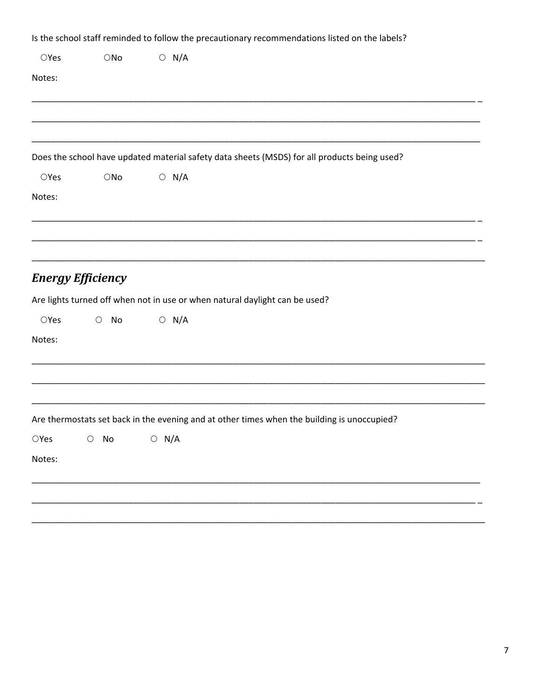|                |                          |                | Is the school staff reminded to follow the precautionary recommendations listed on the labels? |
|----------------|--------------------------|----------------|------------------------------------------------------------------------------------------------|
| OYes           | $\bigcirc$ No            | $\circ$ N/A    |                                                                                                |
| Notes:         |                          |                |                                                                                                |
|                |                          |                |                                                                                                |
|                |                          |                |                                                                                                |
|                |                          |                |                                                                                                |
|                |                          |                | Does the school have updated material safety data sheets (MSDS) for all products being used?   |
| OYes           | $\bigcirc$ No            | $\bigcirc$ N/A |                                                                                                |
| Notes:         |                          |                |                                                                                                |
|                |                          |                |                                                                                                |
|                |                          |                |                                                                                                |
|                |                          |                |                                                                                                |
|                | <b>Energy Efficiency</b> |                |                                                                                                |
|                |                          |                | Are lights turned off when not in use or when natural daylight can be used?                    |
| OYes           | $\bigcirc$<br>No         | $\bigcirc$ N/A |                                                                                                |
| Notes:         |                          |                |                                                                                                |
|                |                          |                |                                                                                                |
|                |                          |                |                                                                                                |
|                |                          |                |                                                                                                |
|                |                          |                | Are thermostats set back in the evening and at other times when the building is unoccupied?    |
| $\bigcirc$ Yes | No<br>$\bigcirc$         | $\circ$ N/A    |                                                                                                |
| Notes:         |                          |                |                                                                                                |
|                |                          |                |                                                                                                |
|                |                          |                |                                                                                                |
|                |                          |                |                                                                                                |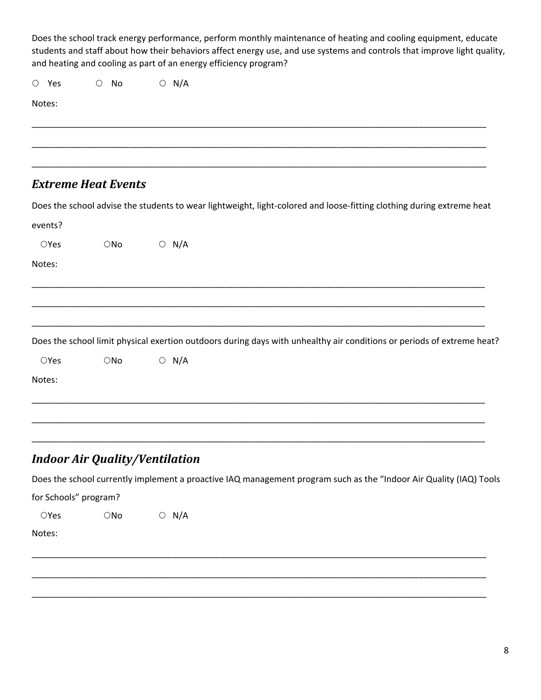Does the school track energy performance, perform monthly maintenance of heating and cooling equipment, educate students and staff about how their behaviors affect energy use, and use systems and controls that improve light quality, and heating and cooling as part of an energy efficiency program?

 $O$  Yes  $O$  No  $O$  N/A

Notes:

#### *Extreme Heat Events*

Does the school advise the students to wear lightweight, light-colored and loose-fitting clothing during extreme heat

\_\_\_\_\_\_\_\_\_\_\_\_\_\_\_\_\_\_\_\_\_\_\_\_\_\_\_\_\_\_\_\_\_\_\_\_\_\_\_\_\_\_\_\_\_\_\_\_\_\_\_\_\_\_\_\_\_\_\_\_\_\_\_\_\_\_\_\_\_\_\_\_\_\_\_\_\_\_\_\_\_\_\_\_\_\_\_\_\_\_\_\_\_\_

\_\_\_\_\_\_\_\_\_\_\_\_\_\_\_\_\_\_\_\_\_\_\_\_\_\_\_\_\_\_\_\_\_\_\_\_\_\_\_\_\_\_\_\_\_\_\_\_\_\_\_\_\_\_\_\_\_\_\_\_\_\_\_\_\_\_\_\_\_\_\_\_\_\_\_\_\_\_\_\_\_\_\_\_\_\_\_\_\_\_\_\_\_\_

\_\_\_\_\_\_\_\_\_\_\_\_\_\_\_\_\_\_\_\_\_\_\_\_\_\_\_\_\_\_\_\_\_\_\_\_\_\_\_\_\_\_\_\_\_\_\_\_\_\_\_\_\_\_\_\_\_\_\_\_\_\_\_\_\_\_\_\_\_\_\_\_\_\_\_\_\_\_\_\_\_\_\_\_\_\_\_\_\_\_\_\_\_\_

| events? |               |                |                                                                                                                        |  |
|---------|---------------|----------------|------------------------------------------------------------------------------------------------------------------------|--|
| OYes    | $\bigcirc$ No | $\bigcirc$ N/A |                                                                                                                        |  |
| Notes:  |               |                |                                                                                                                        |  |
|         |               |                |                                                                                                                        |  |
|         |               |                |                                                                                                                        |  |
|         |               |                |                                                                                                                        |  |
|         |               |                | Does the school limit physical exertion outdoors during days with unhealthy air conditions or periods of extreme heat? |  |
| OYes    | $\bigcirc$ No | $\bigcirc$ N/A |                                                                                                                        |  |
| Notes:  |               |                |                                                                                                                        |  |
|         |               |                |                                                                                                                        |  |
|         |               |                |                                                                                                                        |  |

## *Indoor Air Quality/Ventilation*

Does the school currently implement a proactive IAQ management program such as the "Indoor Air Quality (IAQ) Tools

\_\_\_\_\_\_\_\_\_\_\_\_\_\_\_\_\_\_\_\_\_\_\_\_\_\_\_\_\_\_\_\_\_\_\_\_\_\_\_\_\_\_\_\_\_\_\_\_\_\_\_\_\_\_\_\_\_\_\_\_\_\_\_\_\_\_\_\_\_\_\_\_\_\_\_\_\_\_\_\_\_\_\_\_\_\_\_\_\_\_\_\_\_\_

\_\_\_\_\_\_\_\_\_\_\_\_\_\_\_\_\_\_\_\_\_\_\_\_\_\_\_\_\_\_\_\_\_\_\_\_\_\_\_\_\_\_\_\_\_\_\_\_\_\_\_\_\_\_\_\_\_\_\_\_\_\_\_\_\_\_\_\_\_\_\_\_\_\_\_\_\_\_\_\_\_\_\_\_\_\_\_\_\_\_\_\_\_\_

\_\_\_\_\_\_\_\_\_\_\_\_\_\_\_\_\_\_\_\_\_\_\_\_\_\_\_\_\_\_\_\_\_\_\_\_\_\_\_\_\_\_\_\_\_\_\_\_\_\_\_\_\_\_\_\_\_\_\_\_\_\_\_\_\_\_\_\_\_\_\_\_\_\_\_\_\_\_\_\_\_\_\_\_\_\_\_\_\_\_\_\_\_\_

\_\_\_\_\_\_\_\_\_\_\_\_\_\_\_\_\_\_\_\_\_\_\_\_\_\_\_\_\_\_\_\_\_\_\_\_\_\_\_\_\_\_\_\_\_\_\_\_\_\_\_\_\_\_\_\_\_\_\_\_\_\_\_\_\_\_\_\_\_\_\_\_\_\_\_\_\_\_\_\_\_\_\_\_\_\_\_\_\_\_\_\_\_\_

for Schools" program?

 $OYes$   $ONo$   $O N/A$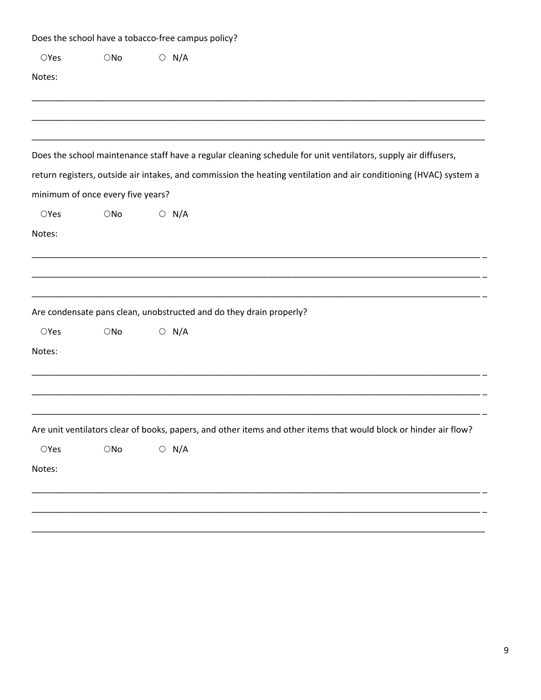|                |                                   | Does the school have a tobacco-free campus policy? |                                                                                                                    |
|----------------|-----------------------------------|----------------------------------------------------|--------------------------------------------------------------------------------------------------------------------|
| $\bigcirc$ Yes | $\bigcirc$ No                     | $\circ$ N/A                                        |                                                                                                                    |
| Notes:         |                                   |                                                    |                                                                                                                    |
|                |                                   |                                                    |                                                                                                                    |
|                |                                   |                                                    | Does the school maintenance staff have a regular cleaning schedule for unit ventilators, supply air diffusers,     |
|                |                                   |                                                    | return registers, outside air intakes, and commission the heating ventilation and air conditioning (HVAC) system a |
|                | minimum of once every five years? |                                                    |                                                                                                                    |
| $\bigcirc$ Yes | $\bigcirc$ No                     | $\circ$ N/A                                        |                                                                                                                    |
| Notes:         |                                   |                                                    |                                                                                                                    |
|                |                                   |                                                    |                                                                                                                    |
|                |                                   |                                                    |                                                                                                                    |
|                |                                   |                                                    |                                                                                                                    |
|                |                                   |                                                    | Are condensate pans clean, unobstructed and do they drain properly?                                                |
| OYes           | $\bigcirc$ No                     | $\circ$ N/A                                        |                                                                                                                    |
| Notes:         |                                   |                                                    |                                                                                                                    |
|                |                                   |                                                    |                                                                                                                    |
|                |                                   |                                                    |                                                                                                                    |
|                |                                   |                                                    | Are unit ventilators clear of books, papers, and other items and other items that would block or hinder air flow?  |
| $\bigcirc$ Yes | $\bigcirc$ No                     | $\circ$ N/A                                        |                                                                                                                    |
| Notes:         |                                   |                                                    |                                                                                                                    |
|                |                                   |                                                    |                                                                                                                    |
|                |                                   |                                                    |                                                                                                                    |
|                |                                   |                                                    |                                                                                                                    |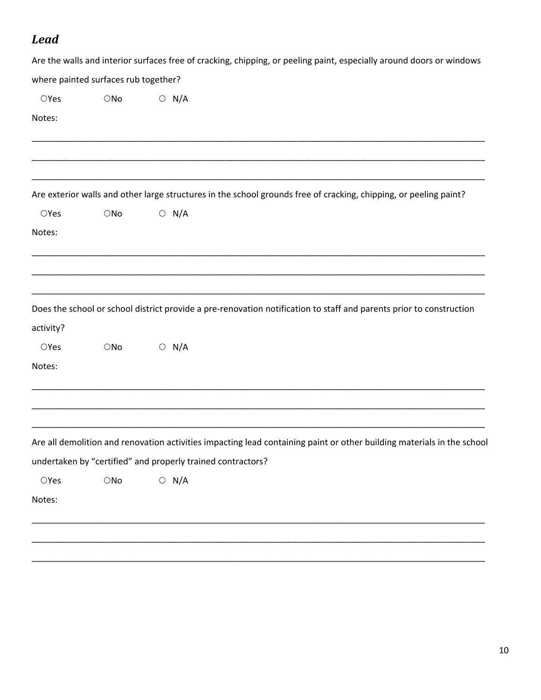# *Lead*

|                |                                      |                                                             | Are the walls and interior surfaces free of cracking, chipping, or peeling paint, especially around doors or windows   |
|----------------|--------------------------------------|-------------------------------------------------------------|------------------------------------------------------------------------------------------------------------------------|
|                | where painted surfaces rub together? |                                                             |                                                                                                                        |
| $\bigcirc$ Yes | $\bigcirc$ No                        | $\bigcirc$ N/A                                              |                                                                                                                        |
| Notes:         |                                      |                                                             |                                                                                                                        |
|                |                                      |                                                             |                                                                                                                        |
|                |                                      |                                                             | Are exterior walls and other large structures in the school grounds free of cracking, chipping, or peeling paint?      |
| $\bigcirc$ Yes | $\bigcirc$ No                        | $\bigcirc$ N/A                                              |                                                                                                                        |
| Notes:         |                                      |                                                             |                                                                                                                        |
|                |                                      |                                                             |                                                                                                                        |
|                |                                      |                                                             | Does the school or school district provide a pre-renovation notification to staff and parents prior to construction    |
| activity?      |                                      |                                                             |                                                                                                                        |
| OYes           | $\bigcirc$ No                        | $\circ$ N/A                                                 |                                                                                                                        |
| Notes:         |                                      |                                                             |                                                                                                                        |
|                |                                      |                                                             |                                                                                                                        |
|                |                                      |                                                             | Are all demolition and renovation activities impacting lead containing paint or other building materials in the school |
|                |                                      | undertaken by "certified" and properly trained contractors? |                                                                                                                        |
| $\bigcirc$ Yes | $\bigcirc$ No                        | $\circ$ N/A                                                 |                                                                                                                        |
| Notes:         |                                      |                                                             |                                                                                                                        |
|                |                                      |                                                             |                                                                                                                        |
|                |                                      |                                                             |                                                                                                                        |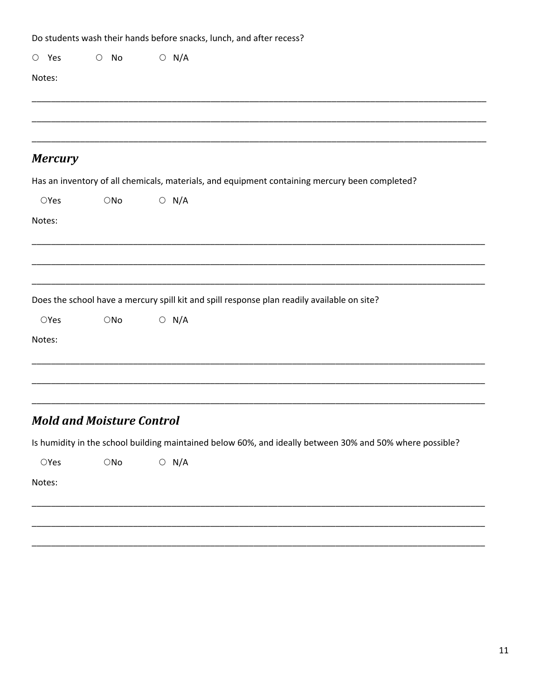|        |                |                                  | Do students wash their hands before snacks, lunch, and after recess?                                     |  |
|--------|----------------|----------------------------------|----------------------------------------------------------------------------------------------------------|--|
|        | $O$ Yes        | No<br>$\bigcirc$                 | $\circ$ N/A                                                                                              |  |
| Notes: |                |                                  |                                                                                                          |  |
|        |                |                                  |                                                                                                          |  |
|        |                |                                  |                                                                                                          |  |
|        | <b>Mercury</b> |                                  |                                                                                                          |  |
|        |                |                                  | Has an inventory of all chemicals, materials, and equipment containing mercury been completed?           |  |
|        | OYes           | $\bigcirc$ No                    | $\circ$ N/A                                                                                              |  |
| Notes: |                |                                  |                                                                                                          |  |
|        |                |                                  |                                                                                                          |  |
|        |                |                                  |                                                                                                          |  |
|        |                |                                  | Does the school have a mercury spill kit and spill response plan readily available on site?              |  |
|        | OYes           | $\bigcirc$ No                    | $\bigcirc$ N/A                                                                                           |  |
| Notes: |                |                                  |                                                                                                          |  |
|        |                |                                  |                                                                                                          |  |
|        |                |                                  |                                                                                                          |  |
|        |                | <b>Mold and Moisture Control</b> |                                                                                                          |  |
|        |                |                                  | Is humidity in the school building maintained below 60%, and ideally between 30% and 50% where possible? |  |
|        | $\bigcirc$ Yes | $\bigcirc$ No                    | $\circ$ N/A                                                                                              |  |
| Notes: |                |                                  |                                                                                                          |  |
|        |                |                                  |                                                                                                          |  |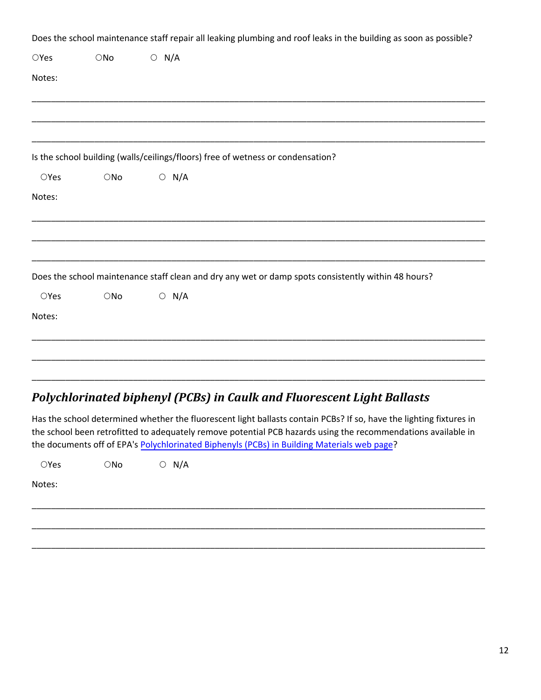|        |               | Does the school maintenance staff repair all leaking plumbing and roof leaks in the building as soon as possible? |
|--------|---------------|-------------------------------------------------------------------------------------------------------------------|
| OYes   | $\bigcirc$ No | $\circ$ N/A                                                                                                       |
| Notes: |               |                                                                                                                   |
|        |               |                                                                                                                   |
|        |               | Is the school building (walls/ceilings/floors) free of wetness or condensation?                                   |
| OYes   | $\bigcirc$ No | $\circ$ N/A                                                                                                       |
| Notes: |               |                                                                                                                   |
|        |               | Does the school maintenance staff clean and dry any wet or damp spots consistently within 48 hours?               |
| OYes   | $\bigcirc$ No | $\circ$ N/A                                                                                                       |
| Notes: |               |                                                                                                                   |
|        |               |                                                                                                                   |
|        |               | Deluchlarin stad hinh emul (DCDe) in Caully and Flueressent Light Dellaste                                        |

### *Polychlorinated biphenyl (PCBs) in Caulk and Fluorescent Light Ballasts*

Has the school determined whether the fluorescent light ballasts contain PCBs? If so, have the lighting fixtures in the school been retrofitted to adequately remove potential PCB hazards using the recommendations available in the documents off of EPA's [Polychlorinated Biphenyls \(PCBs\) in Building Materials web page?](https://www.epa.gov/pcbs/polychlorinated-biphenyls-pcbs-building-materials)

| $\bigcirc$ Yes | $\bigcirc$ No $\bigcirc$ N/A |  |
|----------------|------------------------------|--|
| Notes:         |                              |  |
|                |                              |  |
|                |                              |  |
|                |                              |  |

\_\_\_\_\_\_\_\_\_\_\_\_\_\_\_\_\_\_\_\_\_\_\_\_\_\_\_\_\_\_\_\_\_\_\_\_\_\_\_\_\_\_\_\_\_\_\_\_\_\_\_\_\_\_\_\_\_\_\_\_\_\_\_\_\_\_\_\_\_\_\_\_\_\_\_\_\_\_\_\_\_\_\_\_\_\_\_\_\_\_\_\_\_\_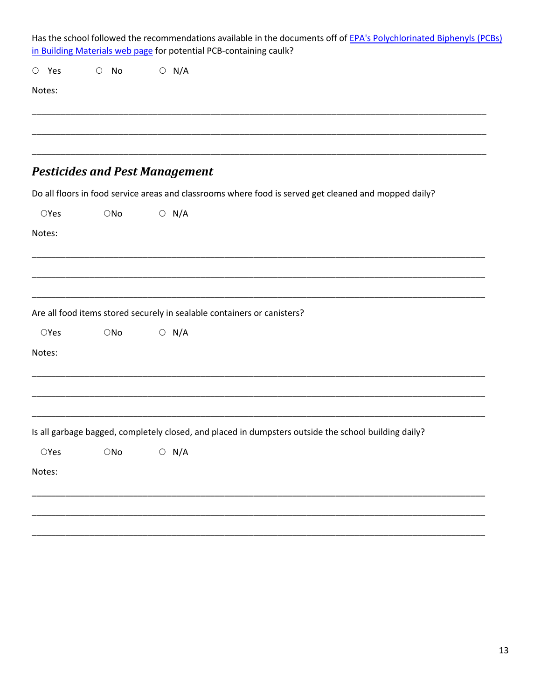| Has the school followed the recommendations available in the documents off of EPA's Polychlorinated Biphenyls (PCBs)<br>in Building Materials web page for potential PCB-containing caulk? |                    |                                                                                                       |  |  |  |  |  |
|--------------------------------------------------------------------------------------------------------------------------------------------------------------------------------------------|--------------------|-------------------------------------------------------------------------------------------------------|--|--|--|--|--|
| $O$ Yes                                                                                                                                                                                    | No<br>$\circ$      | $\circ$ N/A                                                                                           |  |  |  |  |  |
| Notes:                                                                                                                                                                                     |                    |                                                                                                       |  |  |  |  |  |
|                                                                                                                                                                                            |                    |                                                                                                       |  |  |  |  |  |
|                                                                                                                                                                                            |                    | <b>Pesticides and Pest Management</b>                                                                 |  |  |  |  |  |
|                                                                                                                                                                                            |                    | Do all floors in food service areas and classrooms where food is served get cleaned and mopped daily? |  |  |  |  |  |
| OYes                                                                                                                                                                                       | ONo                | $\bigcirc$ N/A                                                                                        |  |  |  |  |  |
| Notes:                                                                                                                                                                                     |                    |                                                                                                       |  |  |  |  |  |
|                                                                                                                                                                                            |                    | Are all food items stored securely in sealable containers or canisters?                               |  |  |  |  |  |
| OYes                                                                                                                                                                                       | $\bigcirc$ No      | $\circ$ N/A                                                                                           |  |  |  |  |  |
| Notes:                                                                                                                                                                                     |                    |                                                                                                       |  |  |  |  |  |
|                                                                                                                                                                                            |                    |                                                                                                       |  |  |  |  |  |
|                                                                                                                                                                                            |                    | Is all garbage bagged, completely closed, and placed in dumpsters outside the school building daily?  |  |  |  |  |  |
| $\bigcirc$ Yes                                                                                                                                                                             | $\bigcirc{\sf No}$ | $\bigcirc$ N/A                                                                                        |  |  |  |  |  |
| Notes:                                                                                                                                                                                     |                    |                                                                                                       |  |  |  |  |  |
|                                                                                                                                                                                            |                    |                                                                                                       |  |  |  |  |  |
|                                                                                                                                                                                            |                    |                                                                                                       |  |  |  |  |  |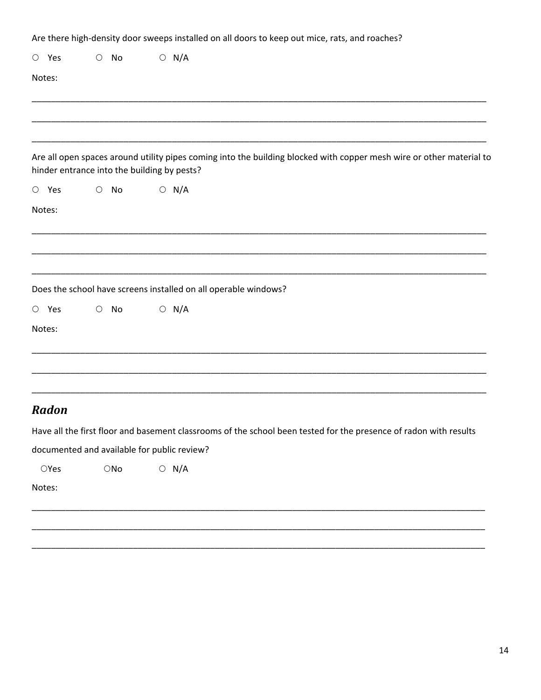|                |                                             |    | Are there high-density door sweeps installed on all doors to keep out mice, rats, and roaches?                       |
|----------------|---------------------------------------------|----|----------------------------------------------------------------------------------------------------------------------|
| $O$ Yes        | $\circ$ No                                  |    | $O$ N/A                                                                                                              |
| Notes:         |                                             |    |                                                                                                                      |
|                |                                             |    |                                                                                                                      |
|                | hinder entrance into the building by pests? |    | Are all open spaces around utility pipes coming into the building blocked with copper mesh wire or other material to |
| $O$ Yes        | $\circ$ No                                  |    | $\bigcirc$ N/A                                                                                                       |
| Notes:         |                                             |    |                                                                                                                      |
|                |                                             |    |                                                                                                                      |
|                |                                             |    | Does the school have screens installed on all operable windows?                                                      |
| $O$ Yes        | $\circ$                                     | No | $O$ N/A                                                                                                              |
| Notes:         |                                             |    |                                                                                                                      |
|                |                                             |    |                                                                                                                      |
| Radon          |                                             |    |                                                                                                                      |
|                |                                             |    | Have all the first floor and basement classrooms of the school been tested for the presence of radon with results    |
|                |                                             |    | documented and available for public review?                                                                          |
| $\bigcirc$ Yes | $\bigcirc$ No                               |    | $\circ$ N/A                                                                                                          |
| Notes:         |                                             |    |                                                                                                                      |
|                |                                             |    |                                                                                                                      |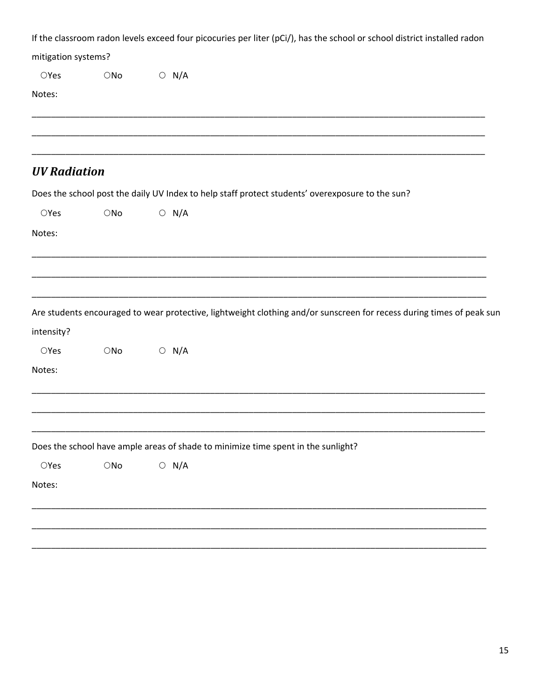| If the classroom radon levels exceed four picocuries per liter (pCi/), has the school or school district installed radon |               |                                                                                                                       |  |  |  |  |  |  |
|--------------------------------------------------------------------------------------------------------------------------|---------------|-----------------------------------------------------------------------------------------------------------------------|--|--|--|--|--|--|
| mitigation systems?                                                                                                      |               |                                                                                                                       |  |  |  |  |  |  |
| OYes                                                                                                                     | $\bigcirc$ No | $\circ$ N/A                                                                                                           |  |  |  |  |  |  |
| Notes:                                                                                                                   |               |                                                                                                                       |  |  |  |  |  |  |
|                                                                                                                          |               |                                                                                                                       |  |  |  |  |  |  |
| <b>UV Radiation</b>                                                                                                      |               |                                                                                                                       |  |  |  |  |  |  |
|                                                                                                                          |               | Does the school post the daily UV Index to help staff protect students' overexposure to the sun?                      |  |  |  |  |  |  |
| OYes                                                                                                                     | $\bigcirc$ No | $\circ$ N/A                                                                                                           |  |  |  |  |  |  |
| Notes:                                                                                                                   |               |                                                                                                                       |  |  |  |  |  |  |
|                                                                                                                          |               |                                                                                                                       |  |  |  |  |  |  |
|                                                                                                                          |               |                                                                                                                       |  |  |  |  |  |  |
|                                                                                                                          |               |                                                                                                                       |  |  |  |  |  |  |
|                                                                                                                          |               | Are students encouraged to wear protective, lightweight clothing and/or sunscreen for recess during times of peak sun |  |  |  |  |  |  |
| intensity?                                                                                                               |               |                                                                                                                       |  |  |  |  |  |  |
| OYes                                                                                                                     | $\bigcirc$ No | $\bigcirc$ N/A                                                                                                        |  |  |  |  |  |  |
| Notes:                                                                                                                   |               |                                                                                                                       |  |  |  |  |  |  |
|                                                                                                                          |               |                                                                                                                       |  |  |  |  |  |  |
|                                                                                                                          |               |                                                                                                                       |  |  |  |  |  |  |
|                                                                                                                          |               |                                                                                                                       |  |  |  |  |  |  |
|                                                                                                                          |               | Does the school have ample areas of shade to minimize time spent in the sunlight?                                     |  |  |  |  |  |  |
| $\bigcirc$ Yes                                                                                                           | $\bigcirc$ No | $\circ$ N/A                                                                                                           |  |  |  |  |  |  |
| Notes:                                                                                                                   |               |                                                                                                                       |  |  |  |  |  |  |
|                                                                                                                          |               |                                                                                                                       |  |  |  |  |  |  |
|                                                                                                                          |               |                                                                                                                       |  |  |  |  |  |  |
|                                                                                                                          |               |                                                                                                                       |  |  |  |  |  |  |